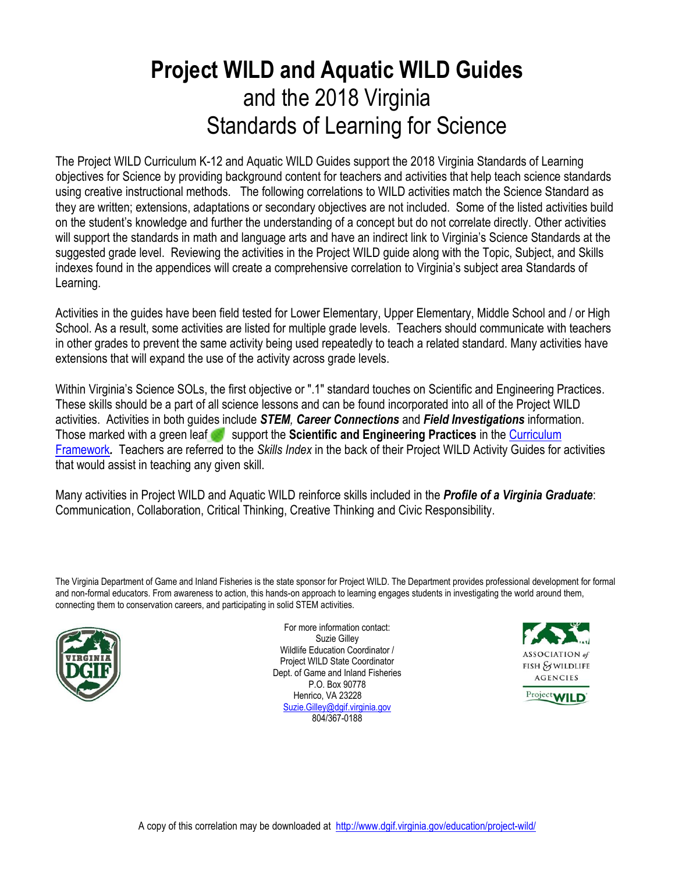## **Project WILD and Aquatic WILD Guides** and the 2018 Virginia Standards of Learning for Science

The Project WILD Curriculum K-12 and Aquatic WILD Guides support the 2018 Virginia Standards of Learning objectives for Science by providing background content for teachers and activities that help teach science standards using creative instructional methods. The following correlations to WILD activities match the Science Standard as they are written; extensions, adaptations or secondary objectives are not included. Some of the listed activities build on the student's knowledge and further the understanding of a concept but do not correlate directly. Other activities will support the standards in math and language arts and have an indirect link to Virginia's Science Standards at the suggested grade level. Reviewing the activities in the Project WILD guide along with the Topic, Subject, and Skills indexes found in the appendices will create a comprehensive correlation to Virginia's subject area Standards of Learning.

Activities in the guides have been field tested for Lower Elementary, Upper Elementary, Middle School and / or High School. As a result, some activities are listed for multiple grade levels. Teachers should communicate with teachers in other grades to prevent the same activity being used repeatedly to teach a related standard. Many activities have extensions that will expand the use of the activity across grade levels.

Within Virginia's Science SOLs, the first objective or ".1" standard touches on Scientific and Engineering Practices. These skills should be a part of all science lessons and can be found incorporated into all of the Project WILD activities. Activities in both guides include *STEM, Career Connections* and *Field Investigations* information. Those marked with a green leaf support the **Scientific and Engineering Practices** in the [Curriculum](http://www.doe.virginia.gov/testing/sol/standards_docs/science/2018/index.shtml)  [Framework](http://www.doe.virginia.gov/testing/sol/standards_docs/science/2018/index.shtml)*.* Teachers are referred to the *Skills Index* in the back of their Project WILD Activity Guides for activities that would assist in teaching any given skill.

Many activities in Project WILD and Aquatic WILD reinforce skills included in the *Profile of a Virginia Graduate*: Communication, Collaboration, Critical Thinking, Creative Thinking and Civic Responsibility.

The Virginia Department of Game and Inland Fisheries is the state sponsor for Project WILD. The Department provides professional development for formal and non-formal educators. From awareness to action, this hands-on approach to learning engages students in investigating the world around them, connecting them to conservation careers, and participating in solid STEM activities.



For more information contact: Suzie Gilley Wildlife Education Coordinator / Project WILD State Coordinator Dept. of Game and Inland Fisheries P.O. Box 90778 Henrico, VA 23228 [Suzie.Gilley@dgif.virginia.gov](mailto:Suzie.Gilley@dgif.virginia.gov) 804/367-0188



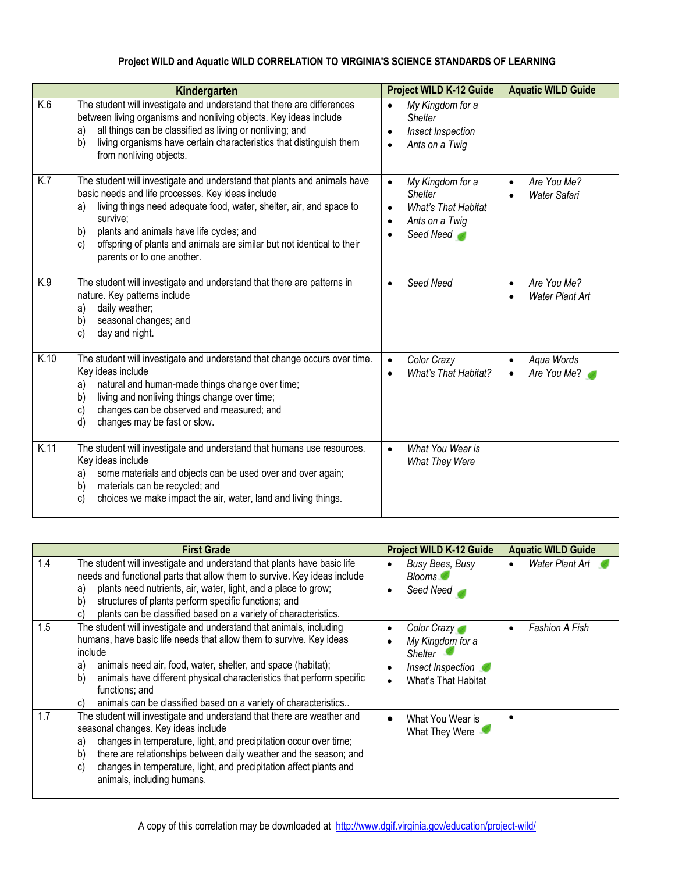## **Project WILD and Aquatic WILD CORRELATION TO VIRGINIA'S SCIENCE STANDARDS OF LEARNING**

|      | Kindergarten                                                                                                                                                                                                                                                                                                                                                                                     | <b>Project WILD K-12 Guide</b>                                                                                            | <b>Aquatic WILD Guide</b>                          |
|------|--------------------------------------------------------------------------------------------------------------------------------------------------------------------------------------------------------------------------------------------------------------------------------------------------------------------------------------------------------------------------------------------------|---------------------------------------------------------------------------------------------------------------------------|----------------------------------------------------|
| K.6  | The student will investigate and understand that there are differences<br>between living organisms and nonliving objects. Key ideas include<br>all things can be classified as living or nonliving; and<br>a)<br>living organisms have certain characteristics that distinguish them<br>b)<br>from nonliving objects.                                                                            | My Kingdom for a<br><b>Shelter</b><br>Insect Inspection<br>$\bullet$<br>Ants on a Twig                                    |                                                    |
| K.7  | The student will investigate and understand that plants and animals have<br>basic needs and life processes. Key ideas include<br>living things need adequate food, water, shelter, air, and space to<br>a)<br>survive;<br>b)<br>plants and animals have life cycles; and<br>offspring of plants and animals are similar but not identical to their<br>$\mathbf{c}$<br>parents or to one another. | My Kingdom for a<br>$\bullet$<br><b>Shelter</b><br><b>What's That Habitat</b><br>Ants on a Twig<br>$\bullet$<br>Seed Need | Are You Me?<br>$\bullet$<br>Water Safari           |
| K.9  | The student will investigate and understand that there are patterns in<br>nature. Key patterns include<br>daily weather;<br>a)<br>seasonal changes; and<br>b)<br>day and night.<br>C)                                                                                                                                                                                                            | Seed Need<br>$\bullet$                                                                                                    | Are You Me?<br>$\bullet$<br><b>Water Plant Art</b> |
| K.10 | The student will investigate and understand that change occurs over time.<br>Key ideas include<br>natural and human-made things change over time;<br>a)<br>living and nonliving things change over time;<br>b)<br>changes can be observed and measured; and<br>C)<br>changes may be fast or slow.<br>d)                                                                                          | Color Crazy<br>$\bullet$<br>What's That Habitat?<br>$\bullet$                                                             | Aqua Words<br>$\bullet$<br>Are You Me?             |
| K.11 | The student will investigate and understand that humans use resources.<br>Key ideas include<br>some materials and objects can be used over and over again;<br>a)<br>materials can be recycled; and<br>b)<br>choices we make impact the air, water, land and living things.<br>C)                                                                                                                 | What You Wear is<br>What They Were                                                                                        |                                                    |

|     | <b>First Grade</b>                                                                                                                                                                                                                                                                                                                                                                                    | <b>Project WILD K-12 Guide</b>                                                                                                             | <b>Aquatic WILD Guide</b> |
|-----|-------------------------------------------------------------------------------------------------------------------------------------------------------------------------------------------------------------------------------------------------------------------------------------------------------------------------------------------------------------------------------------------------------|--------------------------------------------------------------------------------------------------------------------------------------------|---------------------------|
| 1.4 | The student will investigate and understand that plants have basic life<br>needs and functional parts that allow them to survive. Key ideas include<br>plants need nutrients, air, water, light, and a place to grow;<br>a)<br>structures of plants perform specific functions; and<br>b)<br>plants can be classified based on a variety of characteristics.<br>C)                                    | Busy Bees, Busy<br>$\bullet$<br><b>Blooms</b><br>Seed Need<br>$\bullet$                                                                    | Water Plant Art           |
| 1.5 | The student will investigate and understand that animals, including<br>humans, have basic life needs that allow them to survive. Key ideas<br>include<br>animals need air, food, water, shelter, and space (habitat);<br>a)<br>animals have different physical characteristics that perform specific<br>b)<br>functions; and<br>animals can be classified based on a variety of characteristics<br>C) | Color Crazy<br>$\bullet$<br>My Kingdom for a<br>$\bullet$<br>Shelter<br>Insect Inspection<br>$\bullet$<br>What's That Habitat<br>$\bullet$ | <b>Fashion A Fish</b>     |
| 1.7 | The student will investigate and understand that there are weather and<br>seasonal changes. Key ideas include<br>changes in temperature, light, and precipitation occur over time;<br>a)<br>there are relationships between daily weather and the season; and<br>b)<br>changes in temperature, light, and precipitation affect plants and<br>C)<br>animals, including humans.                         | What You Wear is<br>$\bullet$<br>What They Were                                                                                            |                           |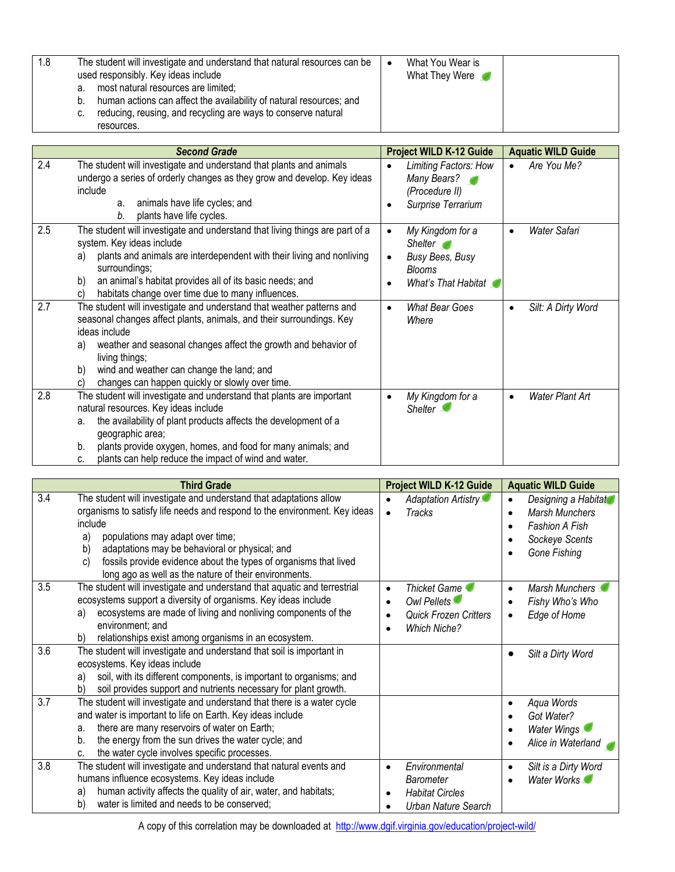| 1.8 | The student will investigate and understand that natural resources can be<br>used responsibly. Key ideas include | What You Wear is<br>What They Were |
|-----|------------------------------------------------------------------------------------------------------------------|------------------------------------|
|     | most natural resources are limited;<br>а.                                                                        |                                    |
|     | human actions can affect the availability of natural resources; and<br>b.                                        |                                    |
|     | reducing, reusing, and recycling are ways to conserve natural<br>C.                                              |                                    |
|     | resources.                                                                                                       |                                    |

|     | <b>Second Grade</b>                                                                                                                                                                                                                                                                                                                                                  | <b>Project WILD K-12 Guide</b>                                                                                             | <b>Aquatic WILD Guide</b>           |
|-----|----------------------------------------------------------------------------------------------------------------------------------------------------------------------------------------------------------------------------------------------------------------------------------------------------------------------------------------------------------------------|----------------------------------------------------------------------------------------------------------------------------|-------------------------------------|
| 2.4 | The student will investigate and understand that plants and animals<br>undergo a series of orderly changes as they grow and develop. Key ideas<br>include<br>animals have life cycles; and<br>a.<br>plants have life cycles.<br>b.                                                                                                                                   | Limiting Factors: How<br>$\bullet$<br>Many Bears?<br>(Procedure II)<br>Surprise Terrarium<br>٠                             | Are You Me?                         |
| 2.5 | The student will investigate and understand that living things are part of a<br>system. Key ideas include<br>plants and animals are interdependent with their living and nonliving<br>a)<br>surroundings;<br>an animal's habitat provides all of its basic needs; and<br>b)<br>habitats change over time due to many influences.<br>C)                               | My Kingdom for a<br>$\bullet$<br>Shelter <b>of</b><br>Busy Bees, Busy<br>$\bullet$<br><b>Blooms</b><br>What's That Habitat | <b>Water Safari</b>                 |
| 2.7 | The student will investigate and understand that weather patterns and<br>seasonal changes affect plants, animals, and their surroundings. Key<br>ideas include<br>weather and seasonal changes affect the growth and behavior of<br>a)<br>living things;<br>wind and weather can change the land; and<br>b)<br>changes can happen quickly or slowly over time.<br>C) | <b>What Bear Goes</b><br>$\bullet$<br>Where                                                                                | Silt: A Dirty Word                  |
| 2.8 | The student will investigate and understand that plants are important<br>natural resources. Key ideas include<br>the availability of plant products affects the development of a<br>a.<br>geographic area;<br>plants provide oxygen, homes, and food for many animals; and<br>b.<br>plants can help reduce the impact of wind and water.<br>C.                       | My Kingdom for a<br>$\bullet$<br>Shelter 1                                                                                 | <b>Water Plant Art</b><br>$\bullet$ |

|     | <b>Third Grade</b>                                                                                                                                                                                                                                                                                                                                                                              | <b>Project WILD K-12 Guide</b>                                                                  | <b>Aquatic WILD Guide</b>                                                                                            |
|-----|-------------------------------------------------------------------------------------------------------------------------------------------------------------------------------------------------------------------------------------------------------------------------------------------------------------------------------------------------------------------------------------------------|-------------------------------------------------------------------------------------------------|----------------------------------------------------------------------------------------------------------------------|
| 3.4 | The student will investigate and understand that adaptations allow<br>organisms to satisfy life needs and respond to the environment. Key ideas<br>include<br>populations may adapt over time;<br>a)<br>adaptations may be behavioral or physical; and<br>b)<br>fossils provide evidence about the types of organisms that lived<br>C)<br>long ago as well as the nature of their environments. | Adaptation Artistry<br>$\bullet$<br><b>Tracks</b><br>$\bullet$                                  | Designing a Habitat<br><b>Marsh Munchers</b><br>$\bullet$<br><b>Fashion A Fish</b><br>Sockeye Scents<br>Gone Fishing |
| 3.5 | The student will investigate and understand that aquatic and terrestrial<br>ecosystems support a diversity of organisms. Key ideas include<br>ecosystems are made of living and nonliving components of the<br>a)<br>environment; and<br>relationships exist among organisms in an ecosystem.<br>b)                                                                                             | Thicket Game<br>$\bullet$<br>Owl Pellets<br><b>Quick Frozen Critters</b><br><b>Which Niche?</b> | Marsh Munchers<br>$\bullet$<br>Fishy Who's Who<br>Edge of Home                                                       |
| 3.6 | The student will investigate and understand that soil is important in<br>ecosystems. Key ideas include<br>soil, with its different components, is important to organisms; and<br>a)<br>soil provides support and nutrients necessary for plant growth.<br>b)                                                                                                                                    |                                                                                                 | Silt a Dirty Word                                                                                                    |
| 3.7 | The student will investigate and understand that there is a water cycle<br>and water is important to life on Earth. Key ideas include<br>there are many reservoirs of water on Earth;<br>a.<br>the energy from the sun drives the water cycle; and<br>b.<br>the water cycle involves specific processes.<br>C.                                                                                  |                                                                                                 | Aqua Words<br>$\bullet$<br>Got Water?<br>Water Wings<br>$\bullet$<br>Alice in Waterland                              |
| 3.8 | The student will investigate and understand that natural events and<br>humans influence ecosystems. Key ideas include<br>human activity affects the quality of air, water, and habitats;<br>a)<br>water is limited and needs to be conserved;<br>b)                                                                                                                                             | Environmental<br>$\bullet$<br>Barometer<br><b>Habitat Circles</b><br>٠<br>Urban Nature Search   | Silt is a Dirty Word<br>$\bullet$<br>Water Works                                                                     |

A copy of this correlation may be downloaded at http://www.dgif.virginia.gov/education/project-wild/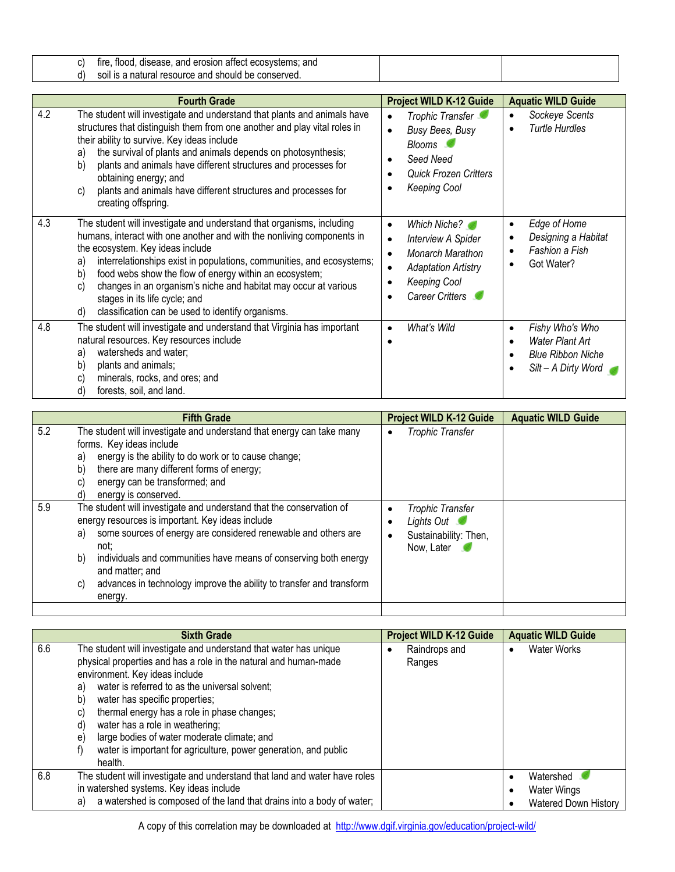| tire<br>flood<br>∵ano.<br>and erosion affect $\cdot$<br>disease.<br>ਾ ecosvstems. |  |
|-----------------------------------------------------------------------------------|--|
| natural resource and should<br>* be conserved.<br>enil                            |  |

| <b>Fourth Grade</b>                                                                                                                                                                                                                                                                                                                                                                                                                                                                                            | <b>Project WILD K-12 Guide</b>                                                                                                                                  | <b>Aquatic WILD Guide</b>                                                                                                           |
|----------------------------------------------------------------------------------------------------------------------------------------------------------------------------------------------------------------------------------------------------------------------------------------------------------------------------------------------------------------------------------------------------------------------------------------------------------------------------------------------------------------|-----------------------------------------------------------------------------------------------------------------------------------------------------------------|-------------------------------------------------------------------------------------------------------------------------------------|
| 4.2<br>The student will investigate and understand that plants and animals have<br>structures that distinguish them from one another and play vital roles in<br>their ability to survive. Key ideas include<br>the survival of plants and animals depends on photosynthesis;<br>a)<br>plants and animals have different structures and processes for<br>b)<br>obtaining energy; and<br>plants and animals have different structures and processes for<br>C)<br>creating offspring.                             | Trophic Transfer<br>Busy Bees, Busy<br>$\bullet$<br>Blooms <b>C</b><br>Seed Need<br><b>Quick Frozen Critters</b><br><b>Keeping Cool</b>                         | Sockeye Scents<br>$\bullet$<br><b>Turtle Hurdles</b><br>٠                                                                           |
| 4.3<br>The student will investigate and understand that organisms, including<br>humans, interact with one another and with the nonliving components in<br>the ecosystem. Key ideas include<br>interrelationships exist in populations, communities, and ecosystems;<br>a)<br>food webs show the flow of energy within an ecosystem;<br>b)<br>changes in an organism's niche and habitat may occur at various<br>C)<br>stages in its life cycle; and<br>classification can be used to identify organisms.<br>d) | Which Niche?<br>$\bullet$<br><b>Interview A Spider</b><br>$\bullet$<br>Monarch Marathon<br><b>Adaptation Artistry</b><br><b>Keeping Cool</b><br>Career Critters | Edge of Home<br>$\bullet$<br>Designing a Habitat<br>$\bullet$<br>Fashion a Fish<br>$\bullet$<br>Got Water?<br>٠                     |
| 4.8<br>The student will investigate and understand that Virginia has important<br>natural resources. Key resources include<br>watersheds and water;<br>a)<br>plants and animals;<br>b)<br>minerals, rocks, and ores; and<br>C)<br>d)<br>forests, soil, and land.                                                                                                                                                                                                                                               | What's Wild<br>$\bullet$                                                                                                                                        | Fishy Who's Who<br>$\bullet$<br><b>Water Plant Art</b><br>$\bullet$<br><b>Blue Ribbon Niche</b><br>$\bullet$<br>Silt - A Dirty Word |

|     | <b>Fifth Grade</b>                                                                                                                                                                                                                                                                                                                                                                             | <b>Project WILD K-12 Guide</b>                                        | <b>Aquatic WILD Guide</b> |
|-----|------------------------------------------------------------------------------------------------------------------------------------------------------------------------------------------------------------------------------------------------------------------------------------------------------------------------------------------------------------------------------------------------|-----------------------------------------------------------------------|---------------------------|
| 5.2 | The student will investigate and understand that energy can take many<br>forms. Key ideas include<br>energy is the ability to do work or to cause change;<br>a)<br>there are many different forms of energy;<br>b)<br>energy can be transformed; and<br>C)<br>energy is conserved.<br>d)                                                                                                       | Trophic Transfer<br>٠                                                 |                           |
| 5.9 | The student will investigate and understand that the conservation of<br>energy resources is important. Key ideas include<br>some sources of energy are considered renewable and others are<br>a)<br>not:<br>individuals and communities have means of conserving both energy<br>b)<br>and matter; and<br>advances in technology improve the ability to transfer and transform<br>C)<br>energy. | Trophic Transfer<br>Lights Out<br>Sustainability: Then,<br>Now, Later |                           |
|     |                                                                                                                                                                                                                                                                                                                                                                                                |                                                                       |                           |

|     | <b>Sixth Grade</b>                                                                                                                                                                                                                                                                                                                                                                                                                                                                                                      | <b>Project WILD K-12 Guide</b> | <b>Aquatic WILD Guide</b>                                    |
|-----|-------------------------------------------------------------------------------------------------------------------------------------------------------------------------------------------------------------------------------------------------------------------------------------------------------------------------------------------------------------------------------------------------------------------------------------------------------------------------------------------------------------------------|--------------------------------|--------------------------------------------------------------|
| 6.6 | The student will investigate and understand that water has unique<br>physical properties and has a role in the natural and human-made<br>environment. Key ideas include<br>water is referred to as the universal solvent;<br>a)<br>b)<br>water has specific properties;<br>thermal energy has a role in phase changes;<br>C)<br>water has a role in weathering;<br>d)<br>large bodies of water moderate climate; and<br>$\epsilon$<br>water is important for agriculture, power generation, and public<br>t)<br>health. | Raindrops and<br>Ranges        | <b>Water Works</b>                                           |
| 6.8 | The student will investigate and understand that land and water have roles<br>in watershed systems. Key ideas include<br>a watershed is composed of the land that drains into a body of water;<br>a)                                                                                                                                                                                                                                                                                                                    |                                | Watershed<br><b>Water Wings</b><br>٠<br>Watered Down History |

A copy of this correlation may be downloaded at http://www.dgif.virginia.gov/education/project-wild/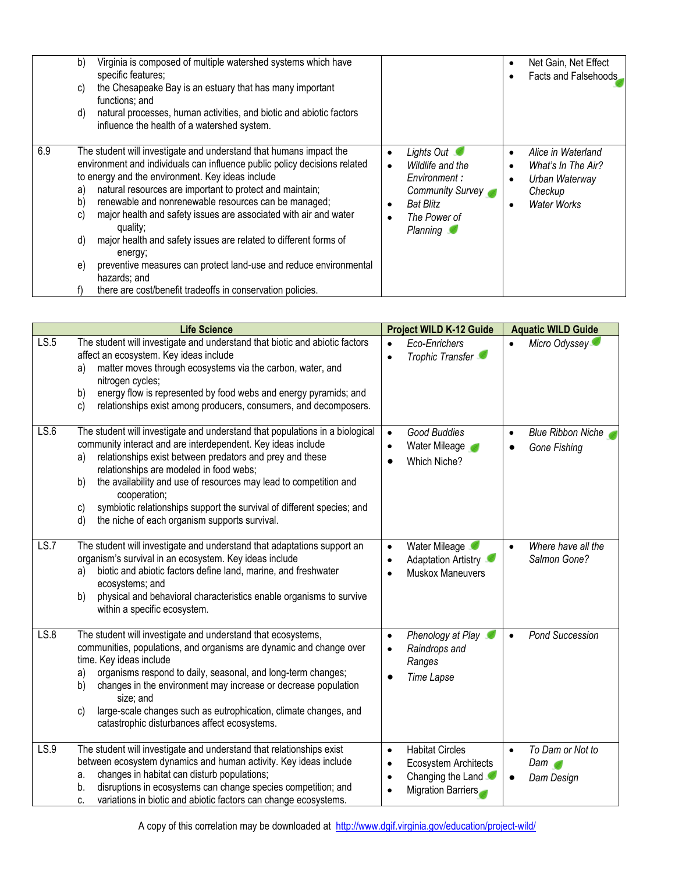| b)<br>C)<br>d)                    | Virginia is composed of multiple watershed systems which have<br>specific features;<br>the Chesapeake Bay is an estuary that has many important<br>functions; and<br>natural processes, human activities, and biotic and abiotic factors<br>influence the health of a watershed system.                                                                                                                                                                                                                                                                                                                                                   |                |                                                                                                                    | $\bullet$           | Net Gain, Net Effect<br>Facts and Falsehoods                                                |
|-----------------------------------|-------------------------------------------------------------------------------------------------------------------------------------------------------------------------------------------------------------------------------------------------------------------------------------------------------------------------------------------------------------------------------------------------------------------------------------------------------------------------------------------------------------------------------------------------------------------------------------------------------------------------------------------|----------------|--------------------------------------------------------------------------------------------------------------------|---------------------|---------------------------------------------------------------------------------------------|
| 6.9<br>a)<br>b)<br>C)<br>d)<br>e) | The student will investigate and understand that humans impact the<br>environment and individuals can influence public policy decisions related<br>to energy and the environment. Key ideas include<br>natural resources are important to protect and maintain;<br>renewable and nonrenewable resources can be managed;<br>major health and safety issues are associated with air and water<br>quality;<br>major health and safety issues are related to different forms of<br>energy;<br>preventive measures can protect land-use and reduce environmental<br>hazards; and<br>there are cost/benefit tradeoffs in conservation policies. | ٠<br>$\bullet$ | Lights Out<br>Wildlife and the<br>Environment:<br>Community Survey<br><b>Bat Blitz</b><br>The Power of<br>Planning | ٠<br>٠<br>$\bullet$ | Alice in Waterland<br>What's In The Air?<br>Urban Waterway<br>Checkup<br><b>Water Works</b> |

|      | <b>Life Science</b>                                                                                                                                                                                                                                                                                                                                                                                                                                                                         | <b>Project WILD K-12 Guide</b>                                                                                                                | <b>Aquatic WILD Guide</b>                          |
|------|---------------------------------------------------------------------------------------------------------------------------------------------------------------------------------------------------------------------------------------------------------------------------------------------------------------------------------------------------------------------------------------------------------------------------------------------------------------------------------------------|-----------------------------------------------------------------------------------------------------------------------------------------------|----------------------------------------------------|
| LS.5 | The student will investigate and understand that biotic and abiotic factors<br>affect an ecosystem. Key ideas include<br>matter moves through ecosystems via the carbon, water, and<br>a)<br>nitrogen cycles;<br>energy flow is represented by food webs and energy pyramids; and<br>b)<br>relationships exist among producers, consumers, and decomposers.<br>c)                                                                                                                           | Eco-Enrichers<br>$\bullet$<br>Trophic Transfer<br>$\bullet$                                                                                   | Micro Odyssey<br>$\bullet$                         |
| LS.6 | The student will investigate and understand that populations in a biological<br>community interact and are interdependent. Key ideas include<br>relationships exist between predators and prey and these<br>a)<br>relationships are modeled in food webs;<br>the availability and use of resources may lead to competition and<br>b)<br>cooperation;<br>symbiotic relationships support the survival of different species; and<br>c)<br>d)<br>the niche of each organism supports survival. | Good Buddies<br>$\bullet$<br>Water Mileage<br>$\bullet$<br>Which Niche?                                                                       | <b>Blue Ribbon Niche</b><br>Gone Fishing           |
| LS.7 | The student will investigate and understand that adaptations support an<br>organism's survival in an ecosystem. Key ideas include<br>biotic and abiotic factors define land, marine, and freshwater<br>a)<br>ecosystems; and<br>b)<br>physical and behavioral characteristics enable organisms to survive<br>within a specific ecosystem.                                                                                                                                                   | Water Mileage<br>$\bullet$<br>Adaptation Artistry<br>$\bullet$<br>Muskox Maneuvers<br>$\bullet$                                               | Where have all the<br>$\bullet$<br>Salmon Gone?    |
| LS.8 | The student will investigate and understand that ecosystems,<br>communities, populations, and organisms are dynamic and change over<br>time. Key ideas include<br>organisms respond to daily, seasonal, and long-term changes;<br>a)<br>changes in the environment may increase or decrease population<br>b)<br>size; and<br>large-scale changes such as eutrophication, climate changes, and<br>c)<br>catastrophic disturbances affect ecosystems.                                         | Phenology at Play<br>$\bullet$<br>Raindrops and<br>$\bullet$<br>Ranges<br><b>Time Lapse</b><br>$\bullet$                                      | <b>Pond Succession</b><br>$\bullet$                |
| LS.9 | The student will investigate and understand that relationships exist<br>between ecosystem dynamics and human activity. Key ideas include<br>changes in habitat can disturb populations;<br>a.<br>disruptions in ecosystems can change species competition; and<br>b.<br>variations in biotic and abiotic factors can change ecosystems.<br>c.                                                                                                                                               | <b>Habitat Circles</b><br>$\bullet$<br>Ecosystem Architects<br>$\bullet$<br>Changing the Land<br>$\bullet$<br>Migration Barriers<br>$\bullet$ | To Dam or Not to<br>$\bullet$<br>Dom<br>Dam Design |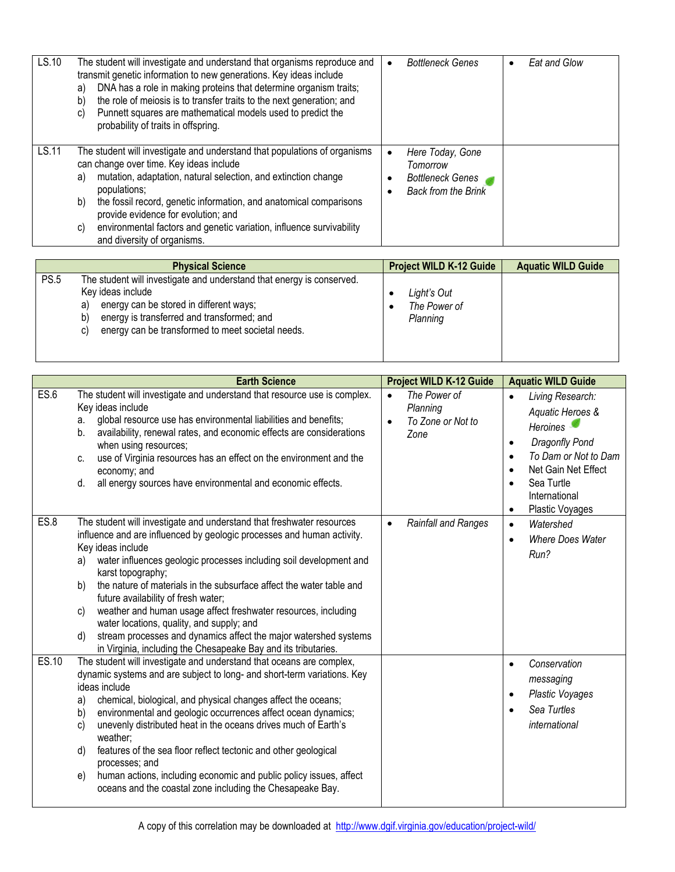| LS.10 | The student will investigate and understand that organisms reproduce and<br>transmit genetic information to new generations. Key ideas include<br>DNA has a role in making proteins that determine organism traits;<br>a)<br>the role of meiosis is to transfer traits to the next generation; and<br>b)<br>Punnett squares are mathematical models used to predict the<br>C)<br>probability of traits in offspring.                         | <b>Bottleneck Genes</b>                                                                                 | Eat and Glow |
|-------|----------------------------------------------------------------------------------------------------------------------------------------------------------------------------------------------------------------------------------------------------------------------------------------------------------------------------------------------------------------------------------------------------------------------------------------------|---------------------------------------------------------------------------------------------------------|--------------|
| LS.11 | The student will investigate and understand that populations of organisms<br>can change over time. Key ideas include<br>mutation, adaptation, natural selection, and extinction change<br>a)<br>populations;<br>the fossil record, genetic information, and anatomical comparisons<br>b)<br>provide evidence for evolution; and<br>environmental factors and genetic variation, influence survivability<br>C)<br>and diversity of organisms. | Here Today, Gone<br>$\bullet$<br>Tomorrow<br><b>Bottleneck Genes</b><br><b>Back from the Brink</b><br>٠ |              |

|             | <b>Physical Science</b>                                                                                                                                                                                                                                    | <b>Project WILD K-12 Guide</b>          | <b>Aquatic WILD Guide</b> |
|-------------|------------------------------------------------------------------------------------------------------------------------------------------------------------------------------------------------------------------------------------------------------------|-----------------------------------------|---------------------------|
| <b>PS.5</b> | The student will investigate and understand that energy is conserved.<br>Key ideas include<br>energy can be stored in different ways;<br>a)<br>energy is transferred and transformed; and<br>b)<br>energy can be transformed to meet societal needs.<br>C) | Light's Out<br>The Power of<br>Planning |                           |

|       | <b>Earth Science</b>                                                                                                                                                                                                                                                                                                                                                                                                                                                                                                                                                                                                                                        | <b>Project WILD K-12 Guide</b>                                                  | <b>Aquatic WILD Guide</b>                                                                                                                                                                                                            |
|-------|-------------------------------------------------------------------------------------------------------------------------------------------------------------------------------------------------------------------------------------------------------------------------------------------------------------------------------------------------------------------------------------------------------------------------------------------------------------------------------------------------------------------------------------------------------------------------------------------------------------------------------------------------------------|---------------------------------------------------------------------------------|--------------------------------------------------------------------------------------------------------------------------------------------------------------------------------------------------------------------------------------|
| ES.6  | The student will investigate and understand that resource use is complex.<br>Key ideas include<br>global resource use has environmental liabilities and benefits;<br>a.<br>availability, renewal rates, and economic effects are considerations<br>b.<br>when using resources;<br>use of Virginia resources has an effect on the environment and the<br>C.<br>economy; and<br>all energy sources have environmental and economic effects.<br>d.                                                                                                                                                                                                             | The Power of<br>$\bullet$<br>Planning<br>To Zone or Not to<br>$\bullet$<br>Zone | Living Research:<br>$\bullet$<br>Aquatic Heroes &<br>Heroines<br>Dragonfly Pond<br>$\bullet$<br>To Dam or Not to Dam<br>$\bullet$<br>Net Gain Net Effect<br>$\bullet$<br>Sea Turtle<br>International<br>Plastic Voyages<br>$\bullet$ |
| ES.8  | The student will investigate and understand that freshwater resources<br>influence and are influenced by geologic processes and human activity.<br>Key ideas include<br>water influences geologic processes including soil development and<br>a)<br>karst topography;<br>the nature of materials in the subsurface affect the water table and<br>b)<br>future availability of fresh water;<br>weather and human usage affect freshwater resources, including<br>C)<br>water locations, quality, and supply; and<br>stream processes and dynamics affect the major watershed systems<br>d)<br>in Virginia, including the Chesapeake Bay and its tributaries. | <b>Rainfall and Ranges</b><br>$\bullet$                                         | Watershed<br>$\bullet$<br>Where Does Water<br>$\bullet$<br>Run?                                                                                                                                                                      |
| ES.10 | The student will investigate and understand that oceans are complex,<br>dynamic systems and are subject to long- and short-term variations. Key<br>ideas include<br>chemical, biological, and physical changes affect the oceans;<br>a)<br>environmental and geologic occurrences affect ocean dynamics;<br>b)<br>unevenly distributed heat in the oceans drives much of Earth's<br>c)<br>weather;<br>features of the sea floor reflect tectonic and other geological<br>d)<br>processes; and<br>human actions, including economic and public policy issues, affect<br>e)<br>oceans and the coastal zone including the Chesapeake Bay.                      |                                                                                 | Conservation<br>$\bullet$<br>messaging<br><b>Plastic Voyages</b><br>$\bullet$<br>Sea Turtles<br>international                                                                                                                        |